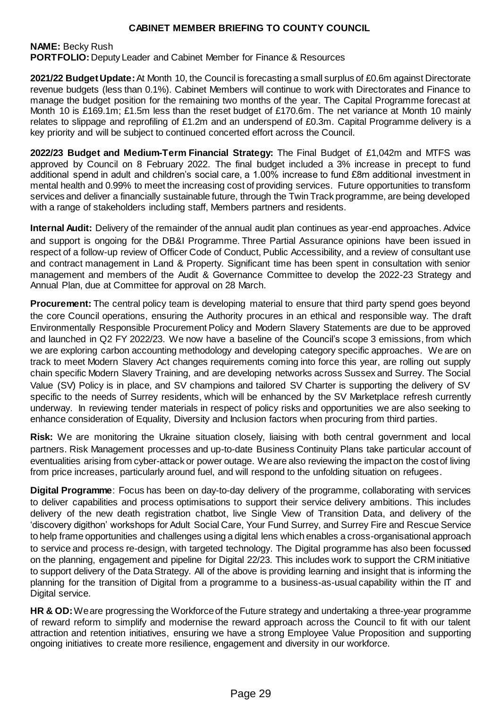**NAME:** Becky Rush **PORTFOLIO:** Deputy Leader and Cabinet Member for Finance & Resources

**2021/22 Budget Update:**At Month 10, the Council is forecasting a small surplus of £0.6m against Directorate revenue budgets (less than 0.1%). Cabinet Members will continue to work with Directorates and Finance to manage the budget position for the remaining two months of the year. The Capital Programme forecast at Month 10 is £169.1m; £1.5m less than the reset budget of £170.6m. The net variance at Month 10 mainly relates to slippage and reprofiling of £1.2m and an underspend of £0.3m. Capital Programme delivery is a key priority and will be subject to continued concerted effort across the Council.

**2022/23 Budget and Medium-Term Financial Strategy:** The Final Budget of £1,042m and MTFS was approved by Council on 8 February 2022. The final budget included a 3% increase in precept to fund additional spend in adult and children's social care, a 1.00% increase to fund £8m additional investment in mental health and 0.99% to meet the increasing cost of providing services. Future opportunities to transform services and deliver a financially sustainable future, through the Twin Track programme, are being developed with a range of stakeholders including staff, Members partners and residents.

**Internal Audit:** Delivery of the remainder of the annual audit plan continues as year-end approaches. Advice and support is ongoing for the DB&I Programme. Three Partial Assurance opinions have been issued in respect of a follow-up review of Officer Code of Conduct, Public Accessibility, and a review of consultant use and contract management in Land & Property. Significant time has been spent in consultation with senior management and members of the Audit & Governance Committee to develop the 2022-23 Strategy and Annual Plan, due at Committee for approval on 28 March.

**Procurement:** The central policy team is developing material to ensure that third party spend goes beyond the core Council operations, ensuring the Authority procures in an ethical and responsible way. The draft Environmentally Responsible Procurement Policy and Modern Slavery Statements are due to be approved and launched in Q2 FY 2022/23. We now have a baseline of the Council's scope 3 emissions, from which we are exploring carbon accounting methodology and developing category specific approaches. We are on track to meet Modern Slavery Act changes requirements coming into force this year, are rolling out supply chain specific Modern Slavery Training, and are developing networks across Sussex and Surrey. The Social Value (SV) Policy is in place, and SV champions and tailored SV Charter is supporting the delivery of SV specific to the needs of Surrey residents, which will be enhanced by the SV Marketplace refresh currently underway. In reviewing tender materials in respect of policy risks and opportunities we are also seeking to enhance consideration of Equality, Diversity and Inclusion factors when procuring from third parties.

**Risk:** We are monitoring the Ukraine situation closely, liaising with both central government and local partners. Risk Management processes and up-to-date Business Continuity Plans take particular account of eventualities arising from cyber-attack or power outage. We are also reviewing the impact on the cost of living from price increases, particularly around fuel, and will respond to the unfolding situation on refugees.

**Digital Programme**: Focus has been on day-to-day delivery of the programme, collaborating with services to deliver capabilities and process optimisations to support their service delivery ambitions. This includes delivery of the new death registration chatbot, live Single View of Transition Data, and delivery of the 'discovery digithon' workshops for Adult Social Care, Your Fund Surrey, and Surrey Fire and Rescue Service to help frame opportunities and challenges using a digital lens which enables a cross-organisational approach to service and process re-design, with targeted technology. The Digital programme has also been focussed on the planning, engagement and pipeline for Digital 22/23. This includes work to support the CRM initiative to support delivery of the Data Strategy. All of the above is providing learning and insight that is informing the planning for the transition of Digital from a programme to a business-as-usual capability within the IT and Digital service.

**HR & OD:**We are progressing the Workforce of the Future strategy and undertaking a three-year programme of reward reform to simplify and modernise the reward approach across the Council to fit with our talent attraction and retention initiatives, ensuring we have a strong Employee Value Proposition and supporting ongoing initiatives to create more resilience, engagement and diversity in our workforce.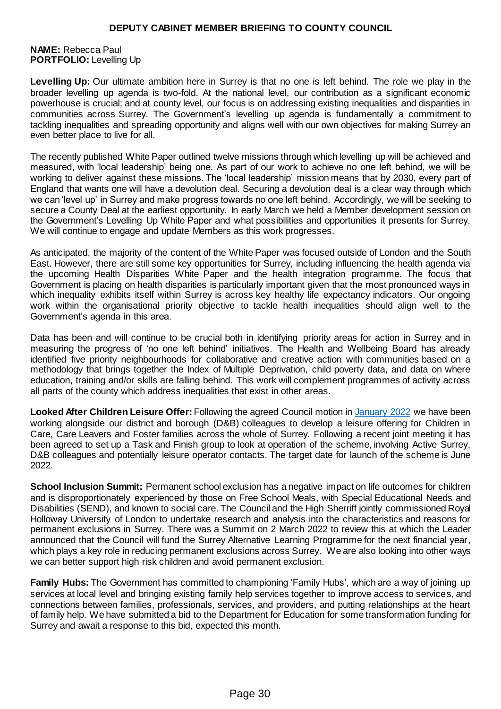**NAME:** Rebecca Paul **PORTFOLIO:** Levelling Up

**Levelling Up:** Our ultimate ambition here in Surrey is that no one is left behind. The role we play in the broader levelling up agenda is two-fold. At the national level, our contribution as a significant economic powerhouse is crucial; and at county level, our focus is on addressing existing inequalities and disparities in communities across Surrey. The Government's levelling up agenda is fundamentally a commitment to tackling inequalities and spreading opportunity and aligns well with our own objectives for making Surrey an even better place to live for all.

The recently published White Paper outlined twelve missions through which levelling up will be achieved and measured, with 'local leadership' being one. As part of our work to achieve no one left behind, we will be working to deliver against these missions. The 'local leadership' mission means that by 2030, every part of England that wants one will have a devolution deal. Securing a devolution deal is a clear way through which we can 'level up' in Surrey and make progress towards no one left behind. Accordingly, we will be seeking to secure a County Deal at the earliest opportunity. In early March we held a Member development session on the Government's Levelling Up White Paper and what possibilities and opportunities it presents for Surrey. We will continue to engage and update Members as this work progresses.

As anticipated, the majority of the content of the White Paper was focused outside of London and the South East. However, there are still some key opportunities for Surrey, including influencing the health agenda via the upcoming Health Disparities White Paper and the health integration programme. The focus that Government is placing on health disparities is particularly important given that the most pronounced ways in which inequality exhibits itself within Surrey is across key healthy life expectancy indicators. Our ongoing work within the organisational priority objective to tackle health inequalities should align well to the Government's agenda in this area.

Data has been and will continue to be crucial both in identifying priority areas for action in Surrey and in measuring the progress of 'no one left behind' initiatives. The Health and Wellbeing Board has already identified five priority neighbourhoods for collaborative and creative action with communities based on a methodology that brings together the Index of Multiple Deprivation, child poverty data, and data on where education, training and/or skills are falling behind. This work will complement programmes of activity across all parts of the county which address inequalities that exist in other areas.

**Looked After Children Leisure Offer:** Following the agreed Council motion i[n January 2022](file:///C:/Users/hawyatt/AppData/Local/Microsoft/Windows/INetCache/Content.Outlook/9IFUZOFB/Council%2022%20March%202022%20-%20Agenda.pdf) we have been working alongside our district and borough (D&B) colleagues to develop a leisure offering for Children in Care, Care Leavers and Foster families across the whole of Surrey. Following a recent joint meeting it has been agreed to set up a Task and Finish group to look at operation of the scheme, involving Active Surrey, D&B colleagues and potentially leisure operator contacts. The target date for launch of the scheme is June 2022.

**School Inclusion Summit:** Permanent school exclusion has a negative impact on life outcomes for children and is disproportionately experienced by those on Free School Meals, with Special Educational Needs and Disabilities (SEND), and known to social care. The Council and the High Sherriff jointly commissioned Royal Holloway University of London to undertake research and analysis into the characteristics and reasons for permanent exclusions in Surrey. There was a Summit on 2 March 2022 to review this at which the Leader announced that the Council will fund the Surrey Alternative Learning Programme for the next financial year, which plays a key role in reducing permanent exclusions across Surrey. We are also looking into other ways we can better support high risk children and avoid permanent exclusion.

**Family Hubs:** The Government has committed to championing 'Family Hubs', which are a way of joining up services at local level and bringing existing family help services together to improve access to services, and connections between families, professionals, services, and providers, and putting relationships at the heart of family help. We have submitted a bid to the Department for Education for some transformation funding for Surrey and await a response to this bid, expected this month.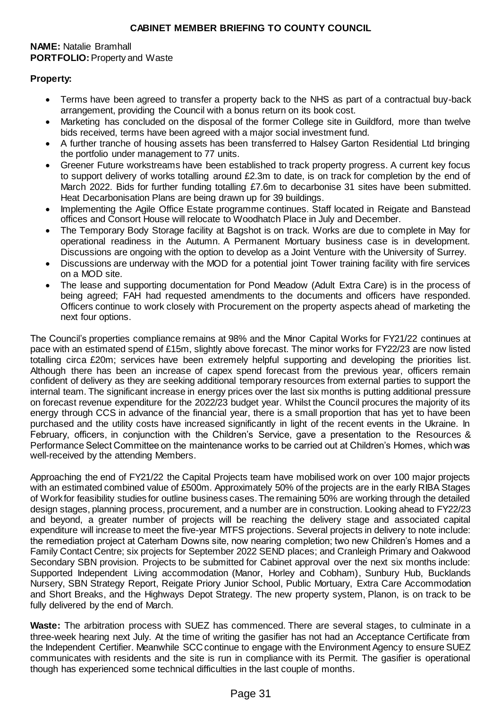### **NAME:** Natalie Bramhall **PORTFOLIO:** Property and Waste

## **Property:**

- Terms have been agreed to transfer a property back to the NHS as part of a contractual buy-back arrangement, providing the Council with a bonus return on its book cost.
- Marketing has concluded on the disposal of the former College site in Guildford, more than twelve bids received, terms have been agreed with a major social investment fund.
- A further tranche of housing assets has been transferred to Halsey Garton Residential Ltd bringing the portfolio under management to 77 units.
- Greener Future workstreams have been established to track property progress. A current key focus to support delivery of works totalling around £2.3m to date, is on track for completion by the end of March 2022. Bids for further funding totalling £7.6m to decarbonise 31 sites have been submitted. Heat Decarbonisation Plans are being drawn up for 39 buildings.
- Implementing the Agile Office Estate programme continues. Staff located in Reigate and Banstead offices and Consort House will relocate to Woodhatch Place in July and December.
- The Temporary Body Storage facility at Bagshot is on track. Works are due to complete in May for operational readiness in the Autumn. A Permanent Mortuary business case is in development. Discussions are ongoing with the option to develop as a Joint Venture with the University of Surrey.
- Discussions are underway with the MOD for a potential joint Tower training facility with fire services on a MOD site.
- The lease and supporting documentation for Pond Meadow (Adult Extra Care) is in the process of being agreed; FAH had requested amendments to the documents and officers have responded. Officers continue to work closely with Procurement on the property aspects ahead of marketing the next four options.

The Council's properties compliance remains at 98% and the Minor Capital Works for FY21/22 continues at pace with an estimated spend of £15m, slightly above forecast. The minor works for FY22/23 are now listed totalling circa £20m; services have been extremely helpful supporting and developing the priorities list. Although there has been an increase of capex spend forecast from the previous year, officers remain confident of delivery as they are seeking additional temporary resources from external parties to support the internal team. The significant increase in energy prices over the last six months is putting additional pressure on forecast revenue expenditure for the 2022/23 budget year. Whilst the Council procures the majority of its energy through CCS in advance of the financial year, there is a small proportion that has yet to have been purchased and the utility costs have increased significantly in light of the recent events in the Ukraine. In February, officers, in conjunction with the Children's Service, gave a presentation to the Resources & Performance Select Committee on the maintenance works to be carried out at Children's Homes, which was well-received by the attending Members.

Approaching the end of FY21/22 the Capital Projects team have mobilised work on over 100 major projects with an estimated combined value of £500m. Approximately 50% of the projects are in the early RIBA Stages of Work for feasibility studies for outline business cases. The remaining 50% are working through the detailed design stages, planning process, procurement, and a number are in construction. Looking ahead to FY22/23 and beyond, a greater number of projects will be reaching the delivery stage and associated capital expenditure will increase to meet the five-year MTFS projections. Several projects in delivery to note include: the remediation project at Caterham Downs site, now nearing completion; two new Children's Homes and a Family Contact Centre; six projects for September 2022 SEND places; and Cranleigh Primary and Oakwood Secondary SBN provision. Projects to be submitted for Cabinet approval over the next six months include: Supported Independent Living accommodation (Manor, Horley and Cobham), Sunbury Hub, Bucklands Nursery, SBN Strategy Report, Reigate Priory Junior School, Public Mortuary, Extra Care Accommodation and Short Breaks, and the Highways Depot Strategy. The new property system, Planon, is on track to be fully delivered by the end of March.

**Waste:** The arbitration process with SUEZ has commenced. There are several stages, to culminate in a three-week hearing next July. At the time of writing the gasifier has not had an Acceptance Certificate from the Independent Certifier. Meanwhile SCC continue to engage with the Environment Agency to ensure SUEZ communicates with residents and the site is run in compliance with its Permit. The gasifier is operational though has experienced some technical difficulties in the last couple of months.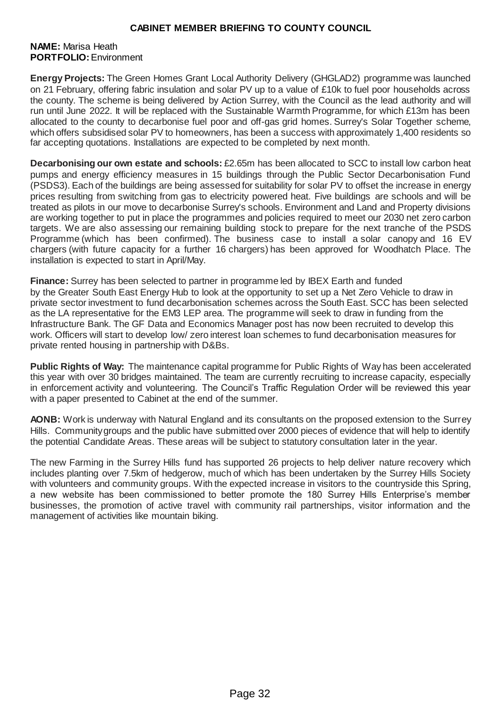#### **NAME:** Marisa Heath **PORTFOLIO:** Environment

**Energy Projects:** The Green Homes Grant Local Authority Delivery (GHGLAD2) programme was launched on 21 February, offering fabric insulation and solar PV up to a value of £10k to fuel poor households across the county. The scheme is being delivered by Action Surrey, with the Council as the lead authority and will run until June 2022. It will be replaced with the Sustainable Warmth Programme, for which £13m has been allocated to the county to decarbonise fuel poor and off-gas grid homes. Surrey's Solar Together scheme, which offers subsidised solar PV to homeowners, has been a success with approximately 1,400 residents so far accepting quotations. Installations are expected to be completed by next month.

**Decarbonising our own estate and schools:** £2.65m has been allocated to SCC to install low carbon heat pumps and energy efficiency measures in 15 buildings through the Public Sector Decarbonisation Fund (PSDS3). Each of the buildings are being assessed for suitability for solar PV to offset the increase in energy prices resulting from switching from gas to electricity powered heat. Five buildings are schools and will be treated as pilots in our move to decarbonise Surrey's schools. Environment and Land and Property divisions are working together to put in place the programmes and policies required to meet our 2030 net zero carbon targets. We are also assessing our remaining building stock to prepare for the next tranche of the PSDS Programme (which has been confirmed). The business case to install a solar canopy and 16 EV chargers (with future capacity for a further 16 chargers) has been approved for Woodhatch Place. The installation is expected to start in April/May.

**Finance:** Surrey has been selected to partner in programme led by IBEX Earth and funded by the Greater South East Energy Hub to look at the opportunity to set up a Net Zero Vehicle to draw in private sector investment to fund decarbonisation schemes across the South East. SCC has been selected as the LA representative for the EM3 LEP area. The programme will seek to draw in funding from the Infrastructure Bank. The GF Data and Economics Manager post has now been recruited to develop this work. Officers will start to develop low/ zero interest loan schemes to fund decarbonisation measures for private rented housing in partnership with D&Bs.

**Public Rights of Way:** The maintenance capital programme for Public Rights of Way has been accelerated this year with over 30 bridges maintained. The team are currently recruiting to increase capacity, especially in enforcement activity and volunteering. The Council's Traffic Regulation Order will be reviewed this year with a paper presented to Cabinet at the end of the summer.

**AONB:** Work is underway with Natural England and its consultants on the proposed extension to the Surrey Hills. Community groups and the public have submitted over 2000 pieces of evidence that will help to identify the potential Candidate Areas. These areas will be subject to statutory consultation later in the year.

The new Farming in the Surrey Hills fund has supported 26 projects to help deliver nature recovery which includes planting over 7.5km of hedgerow, much of which has been undertaken by the Surrey Hills Society with volunteers and community groups. With the expected increase in visitors to the countryside this Spring, a new website has been commissioned to better promote the 180 Surrey Hills Enterprise's member businesses, the promotion of active travel with community rail partnerships, visitor information and the management of activities like mountain biking.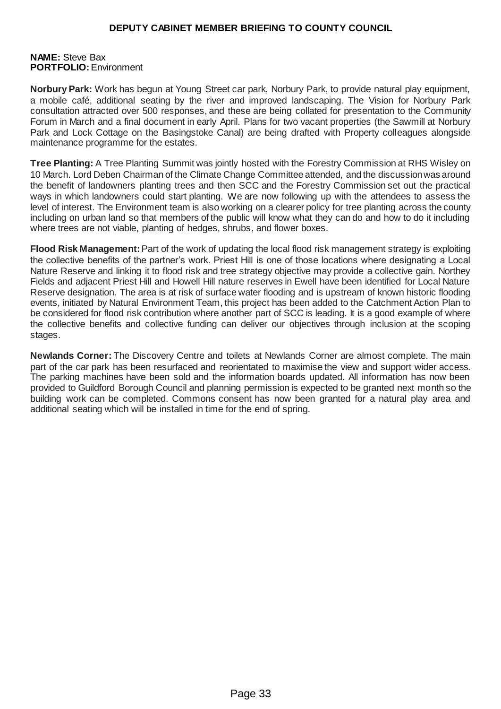#### **NAME:** Steve Bax **PORTFOLIO:** Environment

**Norbury Park:** Work has begun at Young Street car park, Norbury Park, to provide natural play equipment, a mobile café, additional seating by the river and improved landscaping. The Vision for Norbury Park consultation attracted over 500 responses, and these are being collated for presentation to the Community Forum in March and a final document in early April. Plans for two vacant properties (the Sawmill at Norbury Park and Lock Cottage on the Basingstoke Canal) are being drafted with Property colleagues alongside maintenance programme for the estates.

**Tree Planting:** A Tree Planting Summit was jointly hosted with the Forestry Commission at RHS Wisley on 10 March. Lord Deben Chairman of the Climate Change Committee attended, and the discussion was around the benefit of landowners planting trees and then SCC and the Forestry Commission set out the practical ways in which landowners could start planting. We are now following up with the attendees to assess the level of interest. The Environment team is also working on a clearer policy for tree planting across the county including on urban land so that members of the public will know what they can do and how to do it including where trees are not viable, planting of hedges, shrubs, and flower boxes.

**Flood Risk Management:** Part of the work of updating the local flood risk management strategy is exploiting the collective benefits of the partner's work. Priest Hill is one of those locations where designating a Local Nature Reserve and linking it to flood risk and tree strategy objective may provide a collective gain. Northey Fields and adjacent Priest Hill and Howell Hill nature reserves in Ewell have been identified for Local Nature Reserve designation. The area is at risk of surface water flooding and is upstream of known historic flooding events, initiated by Natural Environment Team, this project has been added to the Catchment Action Plan to be considered for flood risk contribution where another part of SCC is leading. It is a good example of where the collective benefits and collective funding can deliver our objectives through inclusion at the scoping stages.

**Newlands Corner:** The Discovery Centre and toilets at Newlands Corner are almost complete. The main part of the car park has been resurfaced and reorientated to maximise the view and support wider access. The parking machines have been sold and the information boards updated. All information has now been provided to Guildford Borough Council and planning permission is expected to be granted next month so the building work can be completed. Commons consent has now been granted for a natural play area and additional seating which will be installed in time for the end of spring.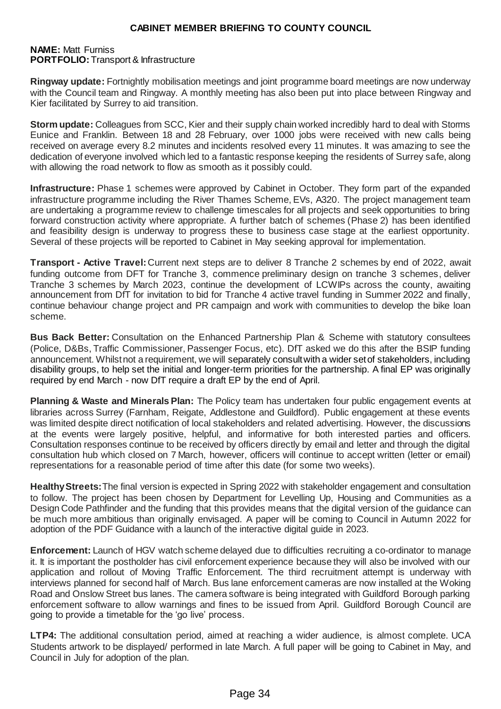#### **NAME:** Matt Furniss **PORTFOLIO:** Transport & Infrastructure

**Ringway update:** Fortnightly mobilisation meetings and joint programme board meetings are now underway with the Council team and Ringway. A monthly meeting has also been put into place between Ringway and Kier facilitated by Surrey to aid transition.

**Storm update:** Colleagues from SCC, Kier and their supply chain worked incredibly hard to deal with Storms Eunice and Franklin. Between 18 and 28 February, over 1000 jobs were received with new calls being received on average every 8.2 minutes and incidents resolved every 11 minutes. It was amazing to see the dedication of everyone involved which led to a fantastic response keeping the residents of Surrey safe, along with allowing the road network to flow as smooth as it possibly could.

**Infrastructure:** Phase 1 schemes were approved by Cabinet in October. They form part of the expanded infrastructure programme including the River Thames Scheme, EVs, A320. The project management team are undertaking a programme review to challenge timescales for all projects and seek opportunities to bring forward construction activity where appropriate. A further batch of schemes (Phase 2) has been identified and feasibility design is underway to progress these to business case stage at the earliest opportunity. Several of these projects will be reported to Cabinet in May seeking approval for implementation.

**Transport - Active Travel:** Current next steps are to deliver 8 Tranche 2 schemes by end of 2022, await funding outcome from DFT for Tranche 3, commence preliminary design on tranche 3 schemes, deliver Tranche 3 schemes by March 2023, continue the development of LCWIPs across the county, awaiting announcement from DfT for invitation to bid for Tranche 4 active travel funding in Summer 2022 and finally, continue behaviour change project and PR campaign and work with communities to develop the bike loan scheme.

**Bus Back Better:** Consultation on the Enhanced Partnership Plan & Scheme with statutory consultees (Police, D&Bs, Traffic Commissioner, Passenger Focus, etc). DfT asked we do this after the BSIP funding announcement. Whilst not a requirement, we will separately consult with a wider set of stakeholders, including disability groups, to help set the initial and longer-term priorities for the partnership. A final EP was originally required by end March - now DfT require a draft EP by the end of April.

**Planning & Waste and Minerals Plan:** The Policy team has undertaken four public engagement events at libraries across Surrey (Farnham, Reigate, Addlestone and Guildford). Public engagement at these events was limited despite direct notification of local stakeholders and related advertising. However, the discussions at the events were largely positive, helpful, and informative for both interested parties and officers. Consultation responses continue to be received by officers directly by email and letter and through the digital consultation hub which closed on 7 March, however, officers will continue to accept written (letter or email) representations for a reasonable period of time after this date (for some two weeks).

**Healthy Streets:** The final version is expected in Spring 2022 with stakeholder engagement and consultation to follow. The project has been chosen by Department for Levelling Up, Housing and Communities as a Design Code Pathfinder and the funding that this provides means that the digital version of the guidance can be much more ambitious than originally envisaged. A paper will be coming to Council in Autumn 2022 for adoption of the PDF Guidance with a launch of the interactive digital guide in 2023.

**Enforcement:** Launch of HGV watch scheme delayed due to difficulties recruiting a co-ordinator to manage it. It is important the postholder has civil enforcement experience because they will also be involved with our application and rollout of Moving Traffic Enforcement. The third recruitment attempt is underway with interviews planned for second half of March. Bus lane enforcement cameras are now installed at the Woking Road and Onslow Street bus lanes. The camera software is being integrated with Guildford Borough parking enforcement software to allow warnings and fines to be issued from April. Guildford Borough Council are going to provide a timetable for the 'go live' process.

**LTP4:** The additional consultation period, aimed at reaching a wider audience, is almost complete. UCA Students artwork to be displayed/ performed in late March. A full paper will be going to Cabinet in May, and Council in July for adoption of the plan.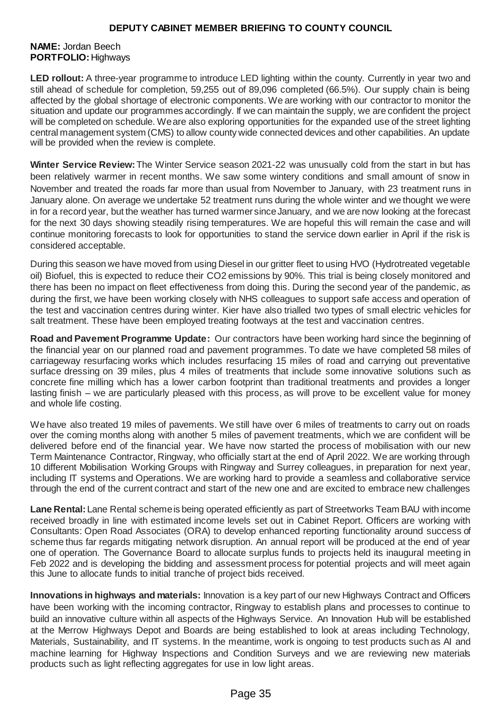#### **NAME:** Jordan Beech **PORTFOLIO:** Highways

**LED rollout:** A three-year programme to introduce LED lighting within the county. Currently in year two and still ahead of schedule for completion, 59,255 out of 89,096 completed (66.5%). Our supply chain is being affected by the global shortage of electronic components. We are working with our contractor to monitor the situation and update our programmes accordingly. If we can maintain the supply, we are confident the project will be completed on schedule. We are also exploring opportunities for the expanded use of the street lighting central management system (CMS) to allow county wide connected devices and other capabilities. An update will be provided when the review is complete.

**Winter Service Review:** The Winter Service season 2021-22 was unusually cold from the start in but has been relatively warmer in recent months. We saw some wintery conditions and small amount of snow in November and treated the roads far more than usual from November to January, with 23 treatment runs in January alone. On average we undertake 52 treatment runs during the whole winter and we thought we were in for a record year, but the weather has turned warmer since January, and we are now looking at the forecast for the next 30 days showing steadily rising temperatures. We are hopeful this will remain the case and will continue monitoring forecasts to look for opportunities to stand the service down earlier in April if the risk is considered acceptable.

During this season we have moved from using Diesel in our gritter fleet to using HVO (Hydrotreated vegetable oil) Biofuel, this is expected to reduce their CO2 emissions by 90%. This trial is being closely monitored and there has been no impact on fleet effectiveness from doing this. During the second year of the pandemic, as during the first, we have been working closely with NHS colleagues to support safe access and operation of the test and vaccination centres during winter. Kier have also trialled two types of small electric vehicles for salt treatment. These have been employed treating footways at the test and vaccination centres.

**Road and Pavement Programme Update:** Our contractors have been working hard since the beginning of the financial year on our planned road and pavement programmes. To date we have completed 58 miles of carriageway resurfacing works which includes resurfacing 15 miles of road and carrying out preventative surface dressing on 39 miles, plus 4 miles of treatments that include some innovative solutions such as concrete fine milling which has a lower carbon footprint than traditional treatments and provides a longer lasting finish – we are particularly pleased with this process, as will prove to be excellent value for money and whole life costing.

We have also treated 19 miles of pavements. We still have over 6 miles of treatments to carry out on roads over the coming months along with another 5 miles of pavement treatments, which we are confident will be delivered before end of the financial year. We have now started the process of mobilisation with our new Term Maintenance Contractor, Ringway, who officially start at the end of April 2022. We are working through 10 different Mobilisation Working Groups with Ringway and Surrey colleagues, in preparation for next year, including IT systems and Operations. We are working hard to provide a seamless and collaborative service through the end of the current contract and start of the new one and are excited to embrace new challenges

**Lane Rental:** Lane Rental scheme is being operated efficiently as part of Streetworks Team BAU with income received broadly in line with estimated income levels set out in Cabinet Report. Officers are working with Consultants: Open Road Associates (ORA) to develop enhanced reporting functionality around success of scheme thus far regards mitigating network disruption. An annual report will be produced at the end of year one of operation. The Governance Board to allocate surplus funds to projects held its inaugural meeting in Feb 2022 and is developing the bidding and assessment process for potential projects and will meet again this June to allocate funds to initial tranche of project bids received.

**Innovations in highways and materials:** Innovation is a key part of our new Highways Contract and Officers have been working with the incoming contractor, Ringway to establish plans and processes to continue to build an innovative culture within all aspects of the Highways Service. An Innovation Hub will be established at the Merrow Highways Depot and Boards are being established to look at areas including Technology, Materials, Sustainability, and IT systems. In the meantime, work is ongoing to test products such as AI and machine learning for Highway Inspections and Condition Surveys and we are reviewing new materials products such as light reflecting aggregates for use in low light areas.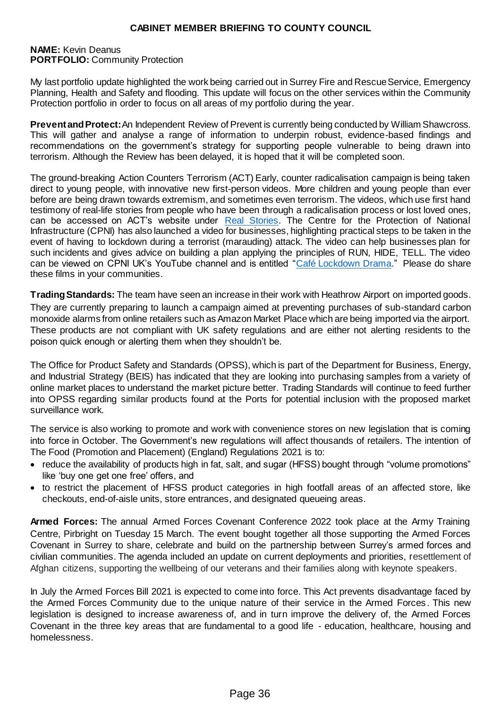#### **NAME:** Kevin Deanus **PORTFOLIO:** Community Protection

My last portfolio update highlighted the work being carried out in Surrey Fire and Rescue Service, Emergency Planning, Health and Safety and flooding. This update will focus on the other services within the Community Protection portfolio in order to focus on all areas of my portfolio during the year.

**Prevent and Protect:** An Independent Review of Prevent is currently being conducted by William Shawcross. This will gather and analyse a range of information to underpin robust, evidence-based findings and recommendations on the government's strategy for supporting people vulnerable to being drawn into terrorism. Although the Review has been delayed, it is hoped that it will be completed soon.

The ground-breaking Action Counters Terrorism (ACT) Early, counter radicalisation campaign is being taken direct to young people, with innovative new first-person videos. More children and young people than ever before are being drawn towards extremism, and sometimes even terrorism. The videos, which use first hand testimony of real-life stories from people who have been through a radicalisation process or lost loved ones, can be accessed on ACT's website under [Real Stories.](https://actearly.uk/real-stories/) The Centre for the Protection of National Infrastructure (CPNI) has also launched a video for businesses, highlighting practical steps to be taken in the event of having to lockdown during a terrorist (marauding) attack. The video can help businesses plan for such incidents and gives advice on building a plan applying the principles of RUN, HIDE, TELL. The video can be viewed on CPNI UK's YouTube channel and is entitled ["Café Lockdown Drama.](https://www.youtube.com/watch?v=oyu8o5s4Bqk)" Please do share these films in your communities.

**Trading Standards:** The team have seen an increase in their work with Heathrow Airport on imported goods. They are currently preparing to launch a campaign aimed at preventing purchases of sub-standard carbon monoxide alarms from online retailers such as Amazon Market Place which are being imported via the airport. These products are not compliant with UK safety regulations and are either not alerting residents to the poison quick enough or alerting them when they shouldn't be.

The Office for Product Safety and Standards (OPSS), which is part of the Department for Business, Energy, and Industrial Strategy (BEIS) has indicated that they are looking into purchasing samples from a variety of online market places to understand the market picture better. Trading Standards will continue to feed further into OPSS regarding similar products found at the Ports for potential inclusion with the proposed market surveillance work.

The service is also working to promote and work with convenience stores on new legislation that is coming into force in October. The Government's new regulations will affect thousands of retailers. The intention of The Food (Promotion and Placement) (England) Regulations 2021 is to:

- reduce the availability of products high in fat, salt, and sugar (HFSS) bought through "volume promotions" like 'buy one get one free' offers, and
- to restrict the placement of HFSS product categories in high footfall areas of an affected store, like checkouts, end-of-aisle units, store entrances, and designated queueing areas.

**Armed Forces:** The annual Armed Forces Covenant Conference 2022 took place at the Army Training Centre, Pirbright on Tuesday 15 March. The event bought together all those supporting the Armed Forces Covenant in Surrey to share, celebrate and build on the partnership between Surrey's armed forces and civilian communities. The agenda included an update on current deployments and priorities, resettlement of Afghan citizens, supporting the wellbeing of our veterans and their families along with keynote speakers.

In July the Armed Forces Bill 2021 is expected to come into force. This Act prevents disadvantage faced by the Armed Forces Community due to the unique nature of their service in the Armed Forces. This new legislation is designed to increase awareness of, and in turn improve the delivery of, the Armed Forces Covenant in the three key areas that are fundamental to a good life - education, healthcare, housing and homelessness.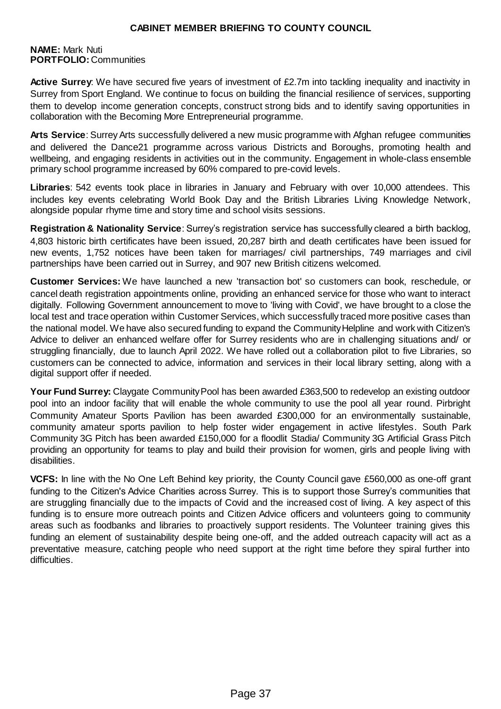#### **NAME:** Mark Nuti **PORTFOLIO:**Communities

**Active Surrey**: We have secured five years of investment of £2.7m into tackling inequality and inactivity in Surrey from Sport England. We continue to focus on building the financial resilience of services, supporting them to develop income generation concepts, construct strong bids and to identify saving opportunities in collaboration with the Becoming More Entrepreneurial programme.

**Arts Service**: Surrey Arts successfully delivered a new music programme with Afghan refugee communities and delivered the Dance21 programme across various Districts and Boroughs, promoting health and wellbeing, and engaging residents in activities out in the community. Engagement in whole-class ensemble primary school programme increased by 60% compared to pre-covid levels.

**Libraries**: 542 events took place in libraries in January and February with over 10,000 attendees. This includes key events celebrating World Book Day and the British Libraries Living Knowledge Network, alongside popular rhyme time and story time and school visits sessions.

**Registration & Nationality Service**: Surrey's registration service has successfully cleared a birth backlog, 4,803 historic birth certificates have been issued, 20,287 birth and death certificates have been issued for new events, 1,752 notices have been taken for marriages/ civil partnerships, 749 marriages and civil partnerships have been carried out in Surrey, and 907 new British citizens welcomed.

**Customer Services:** We have launched a new 'transaction bot' so customers can book, reschedule, or cancel death registration appointments online, providing an enhanced service for those who want to interact digitally. Following Government announcement to move to 'living with Covid', we have brought to a close the local test and trace operation within Customer Services, which successfully traced more positive cases than the national model. We have also secured funding to expand the Community Helpline and work with Citizen's Advice to deliver an enhanced welfare offer for Surrey residents who are in challenging situations and/ or struggling financially, due to launch April 2022. We have rolled out a collaboration pilot to five Libraries, so customers can be connected to advice, information and services in their local library setting, along with a digital support offer if needed.

**Your Fund Surrey:** Claygate Community Pool has been awarded £363,500 to redevelop an existing outdoor pool into an indoor facility that will enable the whole community to use the pool all year round. Pirbright Community Amateur Sports Pavilion has been awarded £300,000 for an environmentally sustainable, community amateur sports pavilion to help foster wider engagement in active lifestyles. South Park Community 3G Pitch has been awarded £150,000 for a floodlit Stadia/ Community 3G Artificial Grass Pitch providing an opportunity for teams to play and build their provision for women, girls and people living with disabilities.

**VCFS:** In line with the No One Left Behind key priority, the County Council gave £560,000 as one-off grant funding to the Citizen's Advice Charities across Surrey. This is to support those Surrey's communities that are struggling financially due to the impacts of Covid and the increased cost of living. A key aspect of this funding is to ensure more outreach points and Citizen Advice officers and volunteers going to community areas such as foodbanks and libraries to proactively support residents. The Volunteer training gives this funding an element of sustainability despite being one-off, and the added outreach capacity will act as a preventative measure, catching people who need support at the right time before they spiral further into difficulties.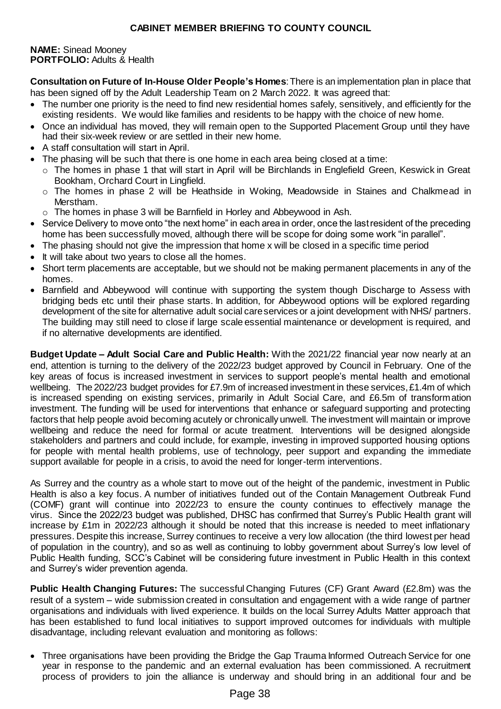**NAME:** Sinead Mooney **PORTFOLIO:** Adults & Health

**Consultation on Future of In-House Older People's Homes**: There is an implementation plan in place that has been signed off by the Adult Leadership Team on 2 March 2022. It was agreed that:

- The number one priority is the need to find new residential homes safely, sensitively, and efficiently for the existing residents. We would like families and residents to be happy with the choice of new home.
- Once an individual has moved, they will remain open to the Supported Placement Group until they have had their six-week review or are settled in their new home.
- A staff consultation will start in April.
- The phasing will be such that there is one home in each area being closed at a time:
- o The homes in phase 1 that will start in April will be Birchlands in Englefield Green, Keswick in Great Bookham, Orchard Court in Lingfield.
- o The homes in phase 2 will be Heathside in Woking, Meadowside in Staines and Chalkmead in Merstham.
- $\circ$  The homes in phase 3 will be Barnfield in Horley and Abbeywood in Ash.
- Service Delivery to move onto "the next home" in each area in order, once the last resident of the preceding home has been successfully moved, although there will be scope for doing some work "in parallel".
- The phasing should not give the impression that home x will be closed in a specific time period
- It will take about two years to close all the homes.
- Short term placements are acceptable, but we should not be making permanent placements in any of the homes.
- Barnfield and Abbeywood will continue with supporting the system though Discharge to Assess with bridging beds etc until their phase starts. In addition, for Abbeywood options will be explored regarding development of the site for alternative adult social care services or a joint development with NHS/ partners. The building may still need to close if large scale essential maintenance or development is required, and if no alternative developments are identified.

**Budget Update – Adult Social Care and Public Health:** With the 2021/22 financial year now nearly at an end, attention is turning to the delivery of the 2022/23 budget approved by Council in February. One of the key areas of focus is increased investment in services to support people's mental health and emotional wellbeing. The 2022/23 budget provides for £7.9m of increased investment in these services, £1.4m of which is increased spending on existing services, primarily in Adult Social Care, and £6.5m of transformation investment. The funding will be used for interventions that enhance or safeguard supporting and protecting factors that help people avoid becoming acutely or chronically unwell. The investment will maintain or improve wellbeing and reduce the need for formal or acute treatment. Interventions will be designed alongside stakeholders and partners and could include, for example, investing in improved supported housing options for people with mental health problems, use of technology, peer support and expanding the immediate support available for people in a crisis, to avoid the need for longer-term interventions.

As Surrey and the country as a whole start to move out of the height of the pandemic, investment in Public Health is also a key focus. A number of initiatives funded out of the Contain Management Outbreak Fund (COMF) grant will continue into 2022/23 to ensure the county continues to effectively manage the virus. Since the 2022/23 budget was published, DHSC has confirmed that Surrey's Public Health grant will increase by £1m in 2022/23 although it should be noted that this increase is needed to meet inflationary pressures. Despite this increase, Surrey continues to receive a very low allocation (the third lowest per head of population in the country), and so as well as continuing to lobby government about Surrey's low level of Public Health funding, SCC's Cabinet will be considering future investment in Public Health in this context and Surrey's wider prevention agenda.

**Public Health Changing Futures:** The successful Changing Futures (CF) Grant Award (£2.8m) was the result of a system – wide submission created in consultation and engagement with a wide range of partner organisations and individuals with lived experience. It builds on the local Surrey Adults Matter approach that has been established to fund local initiatives to support improved outcomes for individuals with multiple disadvantage, including relevant evaluation and monitoring as follows:

• Three organisations have been providing the Bridge the Gap Trauma Informed Outreach Service for one year in response to the pandemic and an external evaluation has been commissioned. A recruitment process of providers to join the alliance is underway and should bring in an additional four and be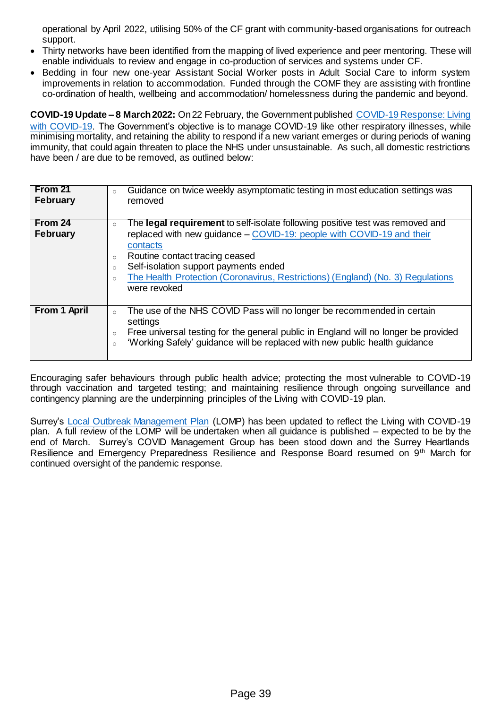operational by April 2022, utilising 50% of the CF grant with community-based organisations for outreach support.

- Thirty networks have been identified from the mapping of lived experience and peer mentoring. These will enable individuals to review and engage in co-production of services and systems under CF.
- Bedding in four new one-year Assistant Social Worker posts in Adult Social Care to inform system improvements in relation to accommodation. Funded through the COMF they are assisting with frontline co-ordination of health, wellbeing and accommodation/ homelessness during the pandemic and beyond.

**COVID-19 Update – 8 March 2022:** On 22 February, the Government published [COVID-19 Response: Living](https://www.gov.uk/government/publications/covid-19-response-living-with-covid-19)  [with COVID-19.](https://www.gov.uk/government/publications/covid-19-response-living-with-covid-19) The Government's objective is to manage COVID-19 like other respiratory illnesses, while minimising mortality, and retaining the ability to respond if a new variant emerges or during periods of waning immunity, that could again threaten to place the NHS under unsustainable. As such, all domestic restrictions have been / are due to be removed, as outlined below:

| From 21<br>February | Guidance on twice weekly asymptomatic testing in most education settings was<br>$\circ$<br>removed                                                                                                                                                                                               |
|---------------------|--------------------------------------------------------------------------------------------------------------------------------------------------------------------------------------------------------------------------------------------------------------------------------------------------|
| From 24             | The legal requirement to self-isolate following positive test was removed and<br>$\circ$                                                                                                                                                                                                         |
| <b>February</b>     | replaced with new guidance - COVID-19: people with COVID-19 and their<br>contacts<br>Routine contact tracing ceased<br>$\circ$<br>Self-isolation support payments ended<br>$\circ$<br>The Health Protection (Coronavirus, Restrictions) (England) (No. 3) Regulations<br>$\circ$<br>were revoked |
| From 1 April        | The use of the NHS COVID Pass will no longer be recommended in certain<br>$\circ$<br>settings<br>Free universal testing for the general public in England will no longer be provided<br>$\circ$<br>'Working Safely' guidance will be replaced with new public health guidance<br>$\circ$         |

Encouraging safer behaviours through public health advice; protecting the most vulnerable to COVID-19 through vaccination and targeted testing; and maintaining resilience through ongoing surveillance and contingency planning are the underpinning principles of the Living with COVID-19 plan.

Surrey's [Local Outbreak Management Plan](https://www.surreycc.gov.uk/community/emergency-planning-and-community-safety/coronavirus/local-outbreak-plan) (LOMP) has been updated to reflect the Living with COVID-19 plan. A full review of the LOMP will be undertaken when all guidance is published – expected to be by the end of March. Surrey's COVID Management Group has been stood down and the Surrey Heartlands Resilience and Emergency Preparedness Resilience and Response Board resumed on 9th March for continued oversight of the pandemic response.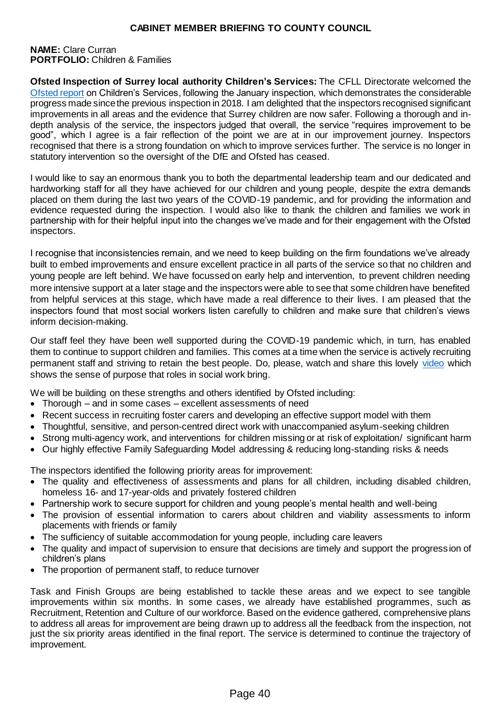#### **NAME:** Clare Curran **PORTFOLIO:** Children & Families

**Ofsted Inspection of Surrey local authority Children's Services:** The CFLL Directorate welcomed the [Ofsted report](https://files.ofsted.gov.uk/v1/file/50178857) on Children's Services, following the January inspection, which demonstrates the considerable progress made since the previous inspection in 2018. I am delighted that the inspectors recognised significant improvements in all areas and the evidence that Surrey children are now safer. Following a thorough and indepth analysis of the service, the inspectors judged that overall, the service "requires improvement to be good", which I agree is a fair reflection of the point we are at in our improvement journey. Inspectors recognised that there is a strong foundation on which to improve services further. The service is no longer in statutory intervention so the oversight of the DfE and Ofsted has ceased.

I would like to say an enormous thank you to both the departmental leadership team and our dedicated and hardworking staff for all they have achieved for our children and young people, despite the extra demands placed on them during the last two years of the COVID-19 pandemic, and for providing the information and evidence requested during the inspection. I would also like to thank the children and families we work in partnership with for their helpful input into the changes we've made and for their engagement with the Ofsted inspectors.

I recognise that inconsistencies remain, and we need to keep building on the firm foundations we've already built to embed improvements and ensure excellent practice in all parts of the service so that no children and young people are left behind. We have focussed on early help and intervention, to prevent children needing more intensive support at a later stage and the inspectors were able to see that some children have benefited from helpful services at this stage, which have made a real difference to their lives. I am pleased that the inspectors found that most social workers listen carefully to children and make sure that children's views inform decision-making.

Our staff feel they have been well supported during the COVID-19 pandemic which, in turn, has enabled them to continue to support children and families. This comes at a time when the service is actively recruiting permanent staff and striving to retain the best people. Do, please, watch and share this lovely [video](https://youtu.be/lvgOFxRwdRs) which shows the sense of purpose that roles in social work bring.

We will be building on these strengths and others identified by Ofsted including:

- Thorough and in some cases excellent assessments of need
- Recent success in recruiting foster carers and developing an effective support model with them
- Thoughtful, sensitive, and person-centred direct work with unaccompanied asylum-seeking children
- Strong multi-agency work, and interventions for children missing or at risk of exploitation/ significant harm
- Our highly effective Family Safeguarding Model addressing & reducing long-standing risks & needs

The inspectors identified the following priority areas for improvement:

- The quality and effectiveness of assessments and plans for all children, including disabled children, homeless 16- and 17-year-olds and privately fostered children
- Partnership work to secure support for children and young people's mental health and well-being
- The provision of essential information to carers about children and viability assessments to inform placements with friends or family
- The sufficiency of suitable accommodation for young people, including care leavers
- The quality and impact of supervision to ensure that decisions are timely and support the progression of children's plans
- The proportion of permanent staff, to reduce turnover

Task and Finish Groups are being established to tackle these areas and we expect to see tangible improvements within six months. In some cases, we already have established programmes, such as Recruitment, Retention and Culture of our workforce. Based on the evidence gathered, comprehensive plans to address all areas for improvement are being drawn up to address all the feedback from the inspection, not just the six priority areas identified in the final report. The service is determined to continue the trajectory of improvement.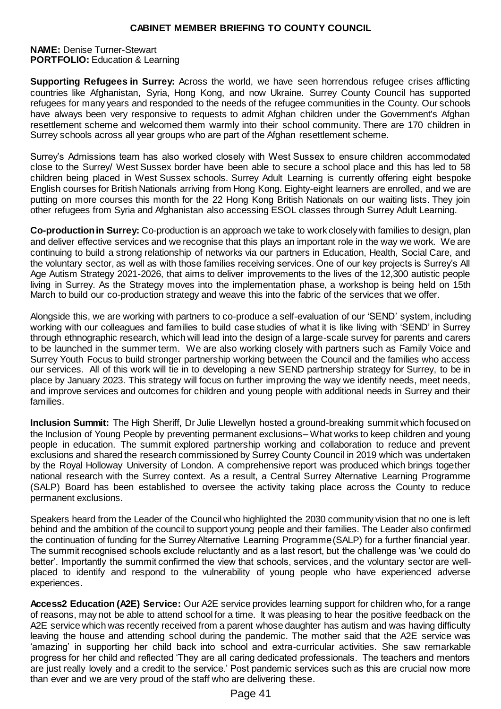#### **NAME:** Denise Turner-Stewart **PORTFOLIO:** Education & Learning

**Supporting Refugees in Surrey:** Across the world, we have seen horrendous refugee crises afflicting countries like Afghanistan, Syria, Hong Kong, and now Ukraine. Surrey County Council has supported refugees for many years and responded to the needs of the refugee communities in the County. Our schools have always been very responsive to requests to admit Afghan children under the Government's Afghan resettlement scheme and welcomed them warmly into their school community. There are 170 children in Surrey schools across all year groups who are part of the Afghan resettlement scheme.

Surrey's Admissions team has also worked closely with West Sussex to ensure children accommodated close to the Surrey/ West Sussex border have been able to secure a school place and this has led to 58 children being placed in West Sussex schools. Surrey Adult Learning is currently offering eight bespoke English courses for British Nationals arriving from Hong Kong. Eighty-eight learners are enrolled, and we are putting on more courses this month for the 22 Hong Kong British Nationals on our waiting lists. They join other refugees from Syria and Afghanistan also accessing ESOL classes through Surrey Adult Learning.

**Co-production in Surrey:** Co-production is an approach we take to work closely with families to design, plan and deliver effective services and we recognise that this plays an important role in the way we work. We are continuing to build a strong relationship of networks via our partners in Education, Health, Social Care, and the voluntary sector, as well as with those families receiving services. One of our key projects is Surrey's All Age Autism Strategy 2021-2026, that aims to deliver improvements to the lives of the 12,300 autistic people living in Surrey. As the Strategy moves into the implementation phase, a workshop is being held on 15th March to build our co-production strategy and weave this into the fabric of the services that we offer.

Alongside this, we are working with partners to co-produce a self-evaluation of our 'SEND' system, including working with our colleagues and families to build case studies of what it is like living with 'SEND' in Surrey through ethnographic research, which will lead into the design of a large-scale survey for parents and carers to be launched in the summer term. We are also working closely with partners such as Family Voice and Surrey Youth Focus to build stronger partnership working between the Council and the families who access our services. All of this work will tie in to developing a new SEND partnership strategy for Surrey, to be in place by January 2023. This strategy will focus on further improving the way we identify needs, meet needs, and improve services and outcomes for children and young people with additional needs in Surrey and their families.

**Inclusion Summit:** The High Sheriff, Dr Julie Llewellyn hosted a ground-breaking summit which focused on the Inclusion of Young People by preventing permanent exclusions– What works to keep children and young people in education. The summit explored partnership working and collaboration to reduce and prevent exclusions and shared the research commissioned by Surrey County Council in 2019 which was undertaken by the Royal Holloway University of London. A comprehensive report was produced which brings together national research with the Surrey context. As a result, a Central Surrey Alternative Learning Programme (SALP) Board has been established to oversee the activity taking place across the County to reduce permanent exclusions.

Speakers heard from the Leader of the Council who highlighted the 2030 community vision that no one is left behind and the ambition of the council to support young people and their families. The Leader also confirmed the continuation of funding for the Surrey Alternative Learning Programme (SALP) for a further financial year. The summit recognised schools exclude reluctantly and as a last resort, but the challenge was 'we could do better'. Importantly the summit confirmed the view that schools, services, and the voluntary sector are wellplaced to identify and respond to the vulnerability of young people who have experienced adverse experiences.

**Access2 Education (A2E) Service:** Our A2E service provides learning support for children who, for a range of reasons, may not be able to attend school for a time. It was pleasing to hear the positive feedback on the A2E service which was recently received from a parent whose daughter has autism and was having difficulty leaving the house and attending school during the pandemic. The mother said that the A2E service was 'amazing' in supporting her child back into school and extra-curricular activities. She saw remarkable progress for her child and reflected 'They are all caring dedicated professionals. The teachers and mentors are just really lovely and a credit to the service.' Post pandemic services such as this are crucial now more than ever and we are very proud of the staff who are delivering these.